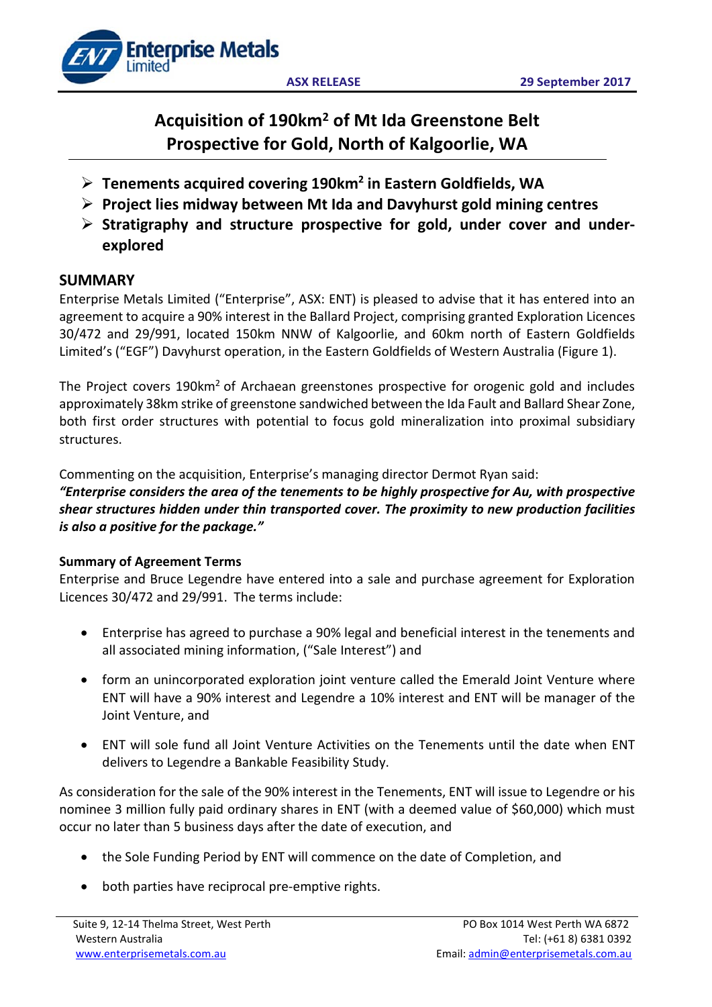

# **Acquisition of 190km2 of Mt Ida Greenstone Belt Prospective for Gold, North of Kalgoorlie, WA**

- **Tenements acquired covering 190km2 in Eastern Goldfields, WA**
- **Project lies midway between Mt Ida and Davyhurst gold mining centres**
- **Stratigraphy and structure prospective for gold, under cover and underexplored**

# **SUMMARY**

Enterprise Metals Limited ("Enterprise", ASX: ENT) is pleased to advise that it has entered into an agreement to acquire a 90% interest in the Ballard Project, comprising granted Exploration Licences 30/472 and 29/991, located 150km NNW of Kalgoorlie, and 60km north of Eastern Goldfields Limited's ("EGF") Davyhurst operation, in the Eastern Goldfields of Western Australia (Figure 1).

The Project covers 190km<sup>2</sup> of Archaean greenstones prospective for orogenic gold and includes approximately 38km strike of greenstone sandwiched between the Ida Fault and Ballard Shear Zone, both first order structures with potential to focus gold mineralization into proximal subsidiary structures.

Commenting on the acquisition, Enterprise's managing director Dermot Ryan said:

*"Enterprise considers the area of the tenements to be highly prospective for Au, with prospective shear structures hidden under thin transported cover. The proximity to new production facilities is also a positive for the package."*

## **Summary of Agreement Terms**

Enterprise and Bruce Legendre have entered into a sale and purchase agreement for Exploration Licences 30/472 and 29/991. The terms include:

- Enterprise has agreed to purchase a 90% legal and beneficial interest in the tenements and all associated mining information, ("Sale Interest") and
- form an unincorporated exploration joint venture called the Emerald Joint Venture where ENT will have a 90% interest and Legendre a 10% interest and ENT will be manager of the Joint Venture, and
- ENT will sole fund all Joint Venture Activities on the Tenements until the date when ENT delivers to Legendre a Bankable Feasibility Study.

As consideration for the sale of the 90% interest in the Tenements, ENT will issue to Legendre or his nominee 3 million fully paid ordinary shares in ENT (with a deemed value of \$60,000) which must occur no later than 5 business days after the date of execution, and

- the Sole Funding Period by ENT will commence on the date of Completion, and
- both parties have reciprocal pre-emptive rights.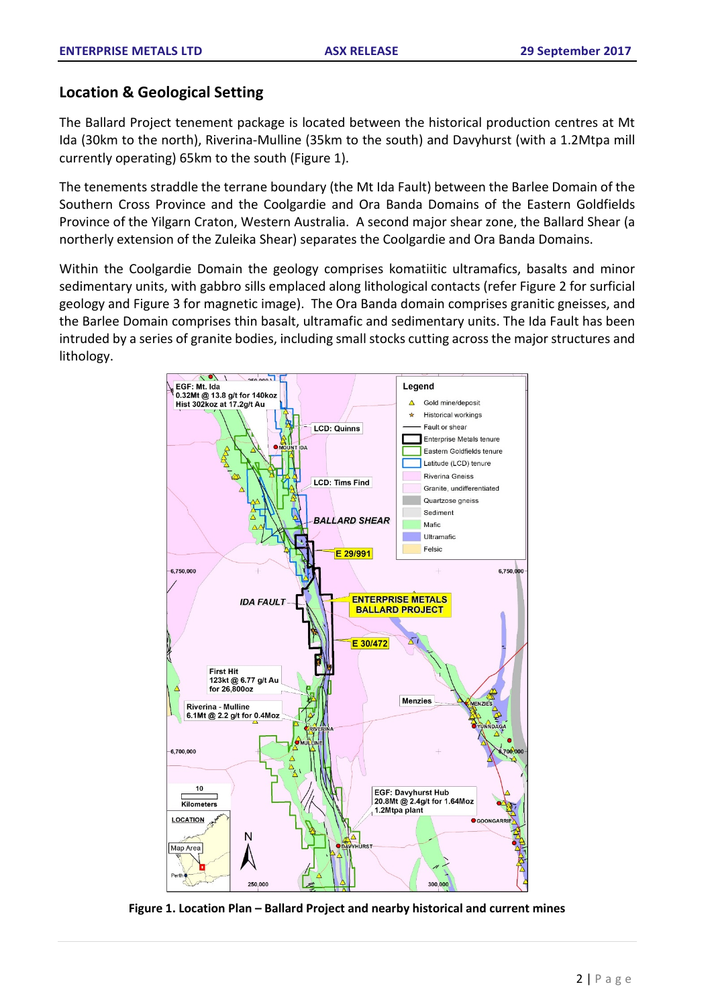## **Location & Geological Setting**

The Ballard Project tenement package is located between the historical production centres at Mt Ida (30km to the north), Riverina-Mulline (35km to the south) and Davyhurst (with a 1.2Mtpa mill currently operating) 65km to the south (Figure 1).

The tenements straddle the terrane boundary (the Mt Ida Fault) between the Barlee Domain of the Southern Cross Province and the Coolgardie and Ora Banda Domains of the Eastern Goldfields Province of the Yilgarn Craton, Western Australia. A second major shear zone, the Ballard Shear (a northerly extension of the Zuleika Shear) separates the Coolgardie and Ora Banda Domains.

Within the Coolgardie Domain the geology comprises komatiitic ultramafics, basalts and minor sedimentary units, with gabbro sills emplaced along lithological contacts (refer Figure 2 for surficial geology and Figure 3 for magnetic image). The Ora Banda domain comprises granitic gneisses, and the Barlee Domain comprises thin basalt, ultramafic and sedimentary units. The Ida Fault has been intruded by a series of granite bodies, including small stocks cutting across the major structures and lithology.



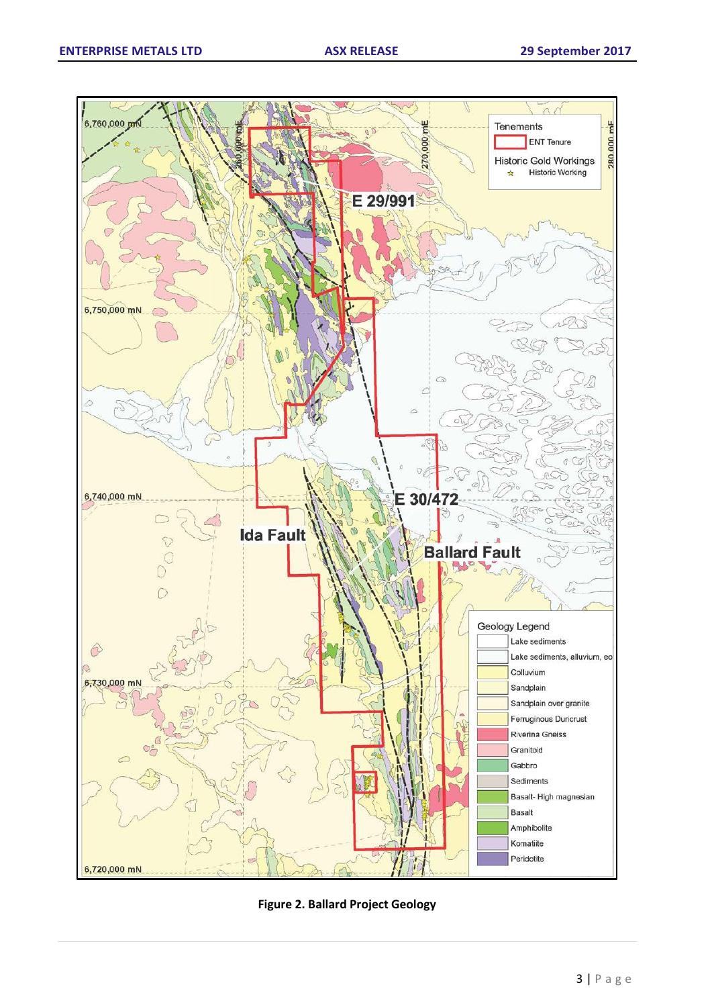

**Figure 2. Ballard Project Geology**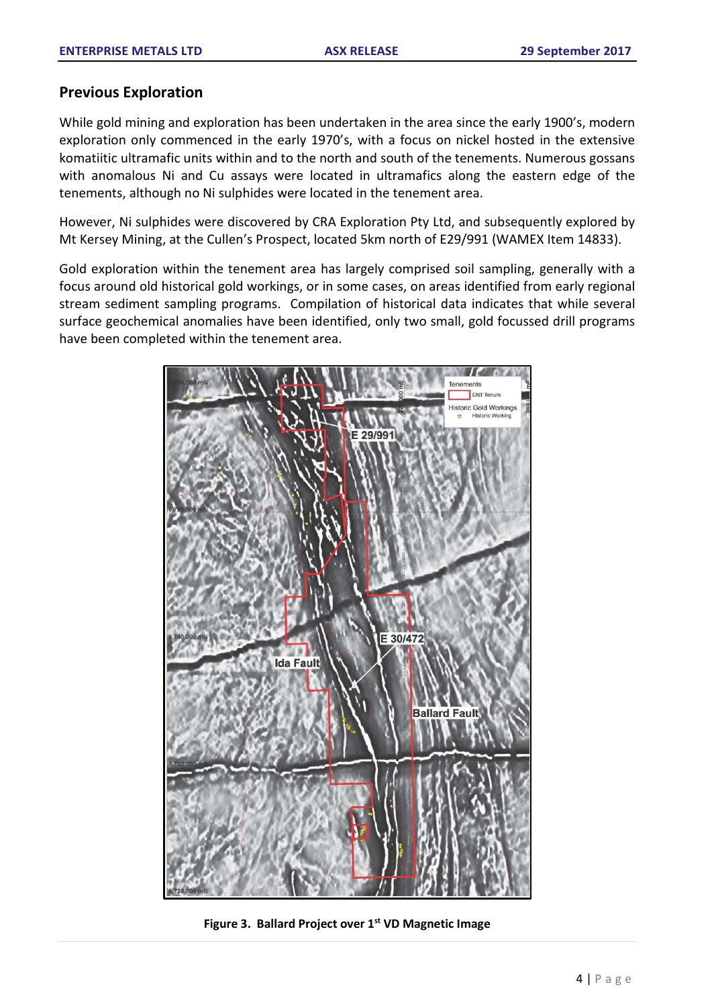## **Previous Exploration**

While gold mining and exploration has been undertaken in the area since the early 1900's, modern exploration only commenced in the early 1970's, with a focus on nickel hosted in the extensive komatiitic ultramafic units within and to the north and south of the tenements. Numerous gossans with anomalous Ni and Cu assays were located in ultramafics along the eastern edge of the tenements, although no Ni sulphides were located in the tenement area.

However, Ni sulphides were discovered by CRA Exploration Pty Ltd, and subsequently explored by Mt Kersey Mining, at the Cullen's Prospect, located 5km north of E29/991 (WAMEX Item 14833).

Gold exploration within the tenement area has largely comprised soil sampling, generally with a focus around old historical gold workings, or in some cases, on areas identified from early regional stream sediment sampling programs. Compilation of historical data indicates that while several surface geochemical anomalies have been identified, only two small, gold focussed drill programs have been completed within the tenement area.



**Figure 3. Ballard Project over 1st VD Magnetic Image**